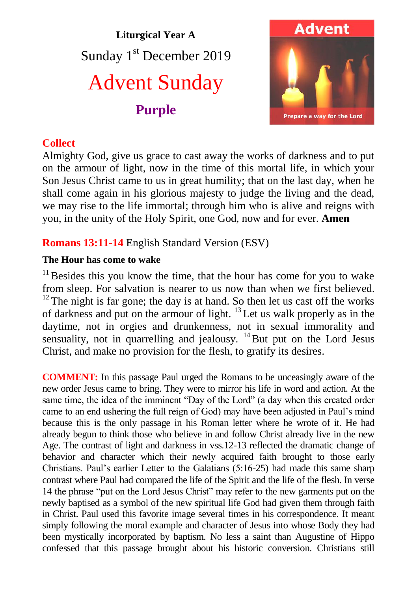# **Liturgical Year A** Sunday 1<sup>st</sup> December 2019 Advent Sunday **Purple**



## **Collect**

Almighty God, give us grace to cast away the works of darkness and to put on the armour of light, now in the time of this mortal life, in which your Son Jesus Christ came to us in great humility; that on the last day, when he shall come again in his glorious majesty to judge the living and the dead, we may rise to the life immortal; through him who is alive and reigns with you, in the unity of the Holy Spirit, one God, now and for ever. **Amen**

# **Romans 13:11-14** English Standard Version (ESV)

#### **The Hour has come to wake**

 $11$  Besides this you know the time, that the hour has come for you to wake from sleep. For salvation is nearer to us now than when we first believed.  $12$ <sup>12</sup> The night is far gone; the day is at hand. So then let us cast off the works of darkness and put on the armour of light.  $^{13}$  Let us walk properly as in the daytime, not in orgies and drunkenness, not in sexual immorality and sensuality, not in quarrelling and jealousy.  $14$  But put on the Lord Jesus Christ, and make no provision for the flesh, to gratify its desires.

**COMMENT:** In this passage Paul urged the Romans to be unceasingly aware of the new order Jesus came to bring. They were to mirror his life in word and action. At the same time, the idea of the imminent "Day of the Lord" (a day when this created order came to an end ushering the full reign of God) may have been adjusted in Paul's mind because this is the only passage in his Roman letter where he wrote of it. He had already begun to think those who believe in and follow Christ already live in the new Age. The contrast of light and darkness in vss.12-13 reflected the dramatic change of behavior and character which their newly acquired faith brought to those early Christians. Paul's earlier Letter to the Galatians (5:16-25) had made this same sharp contrast where Paul had compared the life of the Spirit and the life of the flesh. In verse 14 the phrase "put on the Lord Jesus Christ" may refer to the new garments put on the newly baptised as a symbol of the new spiritual life God had given them through faith in Christ. Paul used this favorite image several times in his correspondence. It meant simply following the moral example and character of Jesus into whose Body they had been mystically incorporated by baptism. No less a saint than Augustine of Hippo confessed that this passage brought about his historic conversion. Christians still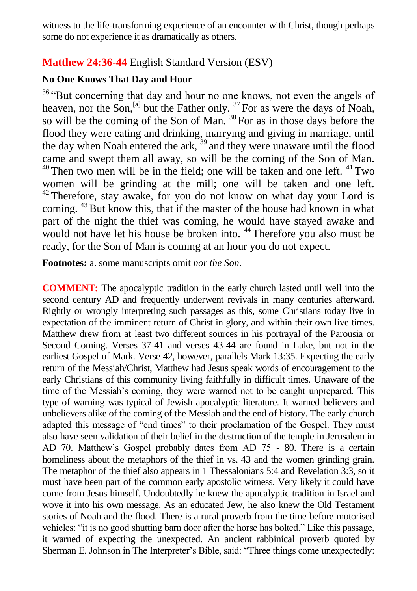witness to the life-transforming experience of an encounter with Christ, though perhaps some do not experience it as dramatically as others.

# **Matthew 24:36-44** English Standard Version (ESV)

#### **No One Knows That Day and Hour**

<sup>36</sup> "But concerning that day and hour no one knows, not even the angels of heaven, nor the Son,  $^{[a]}$  but the Father only.  $^{37}$  For as were the days of Noah, so will be the coming of the Son of Man.<sup>38</sup> For as in those days before the flood they were eating and drinking, marrying and giving in marriage, until the day when Noah entered the ark, <sup>39</sup> and they were unaware until the flood came and swept them all away, so will be the coming of the Son of Man.  $40$  Then two men will be in the field; one will be taken and one left.  $41$  Two women will be grinding at the mill; one will be taken and one left.  $42$  Therefore, stay awake, for you do not know on what day your Lord is coming.  $43$  But know this, that if the master of the house had known in what part of the night the thief was coming, he would have stayed awake and would not have let his house be broken into. <sup>44</sup> Therefore you also must be ready, for the Son of Man is coming at an hour you do not expect.

**Footnotes:** a. some manuscripts omit *nor the Son*.

**COMMENT:** The apocalyptic tradition in the early church lasted until well into the second century AD and frequently underwent revivals in many centuries afterward. Rightly or wrongly interpreting such passages as this, some Christians today live in expectation of the imminent return of Christ in glory, and within their own live times. Matthew drew from at least two different sources in his portrayal of the Parousia or Second Coming. Verses 37-41 and verses 43-44 are found in Luke, but not in the earliest Gospel of Mark. Verse 42, however, parallels Mark 13:35. Expecting the early return of the Messiah/Christ, Matthew had Jesus speak words of encouragement to the early Christians of this community living faithfully in difficult times. Unaware of the time of the Messiah's coming, they were warned not to be caught unprepared. This type of warning was typical of Jewish apocalyptic literature. It warned believers and unbelievers alike of the coming of the Messiah and the end of history. The early church adapted this message of "end times" to their proclamation of the Gospel. They must also have seen validation of their belief in the destruction of the temple in Jerusalem in AD 70. Matthew's Gospel probably dates from AD 75 - 80. There is a certain homeliness about the metaphors of the thief in vs. 43 and the women grinding grain. The metaphor of the thief also appears in 1 Thessalonians 5:4 and Revelation 3:3, so it must have been part of the common early apostolic witness. Very likely it could have come from Jesus himself. Undoubtedly he knew the apocalyptic tradition in Israel and wove it into his own message. As an educated Jew, he also knew the Old Testament stories of Noah and the flood. There is a rural proverb from the time before motorised vehicles: "it is no good shutting barn door after the horse has bolted." Like this passage, it warned of expecting the unexpected. An ancient rabbinical proverb quoted by Sherman E. Johnson in The Interpreter's Bible, said: "Three things come unexpectedly: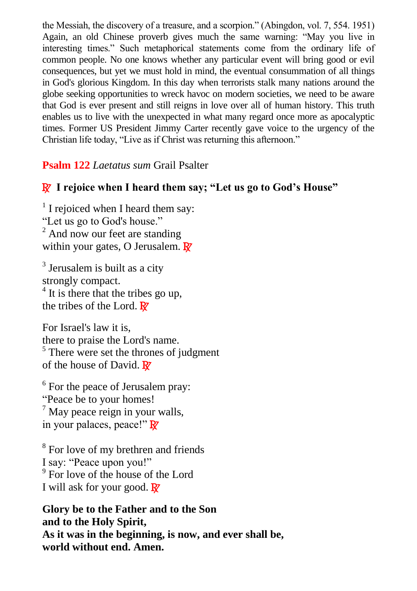the Messiah, the discovery of a treasure, and a scorpion." (Abingdon, vol. 7, 554. 1951) Again, an old Chinese proverb gives much the same warning: "May you live in interesting times." Such metaphorical statements come from the ordinary life of common people. No one knows whether any particular event will bring good or evil consequences, but yet we must hold in mind, the eventual consummation of all things in God's glorious Kingdom. In this day when terrorists stalk many nations around the globe seeking opportunities to wreck havoc on modern societies, we need to be aware that God is ever present and still reigns in love over all of human history. This truth enables us to live with the unexpected in what many regard once more as apocalyptic times. Former US President Jimmy Carter recently gave voice to the urgency of the Christian life today, "Live as if Christ was returning this afternoon."

## **Psalm 122** *Laetatus sum* Grail Psalter

# R **I rejoice when I heard them say; "Let us go to God's House"**

 $1$  I rejoiced when I heard them say: "Let us go to God's house."  $2$  And now our feet are standing within your gates, O Jerusalem.  $\mathbb{R}^7$ 

<sup>3</sup> Jerusalem is built as a city strongly compact.  $4$  It is there that the tribes go up, the tribes of the Lord.  $\mathbb{R}^7$ 

For Israel's law it is, there to praise the Lord's name.  $<sup>5</sup>$  There were set the thrones of judgment</sup> of the house of David.  $\mathbb{R}^7$ 

<sup>6</sup> For the peace of Jerusalem pray: "Peace be to your homes!  $<sup>7</sup>$  May peace reign in your walls,</sup> in your palaces, peace!"  $\mathbb{R}^7$ 

<sup>8</sup> For love of my brethren and friends I say: "Peace upon you!" 9 For love of the house of the Lord I will ask for your good.  $\mathbb{R}^7$ 

**Glory be to the Father and to the Son and to the Holy Spirit, As it was in the beginning, is now, and ever shall be, world without end. Amen.**